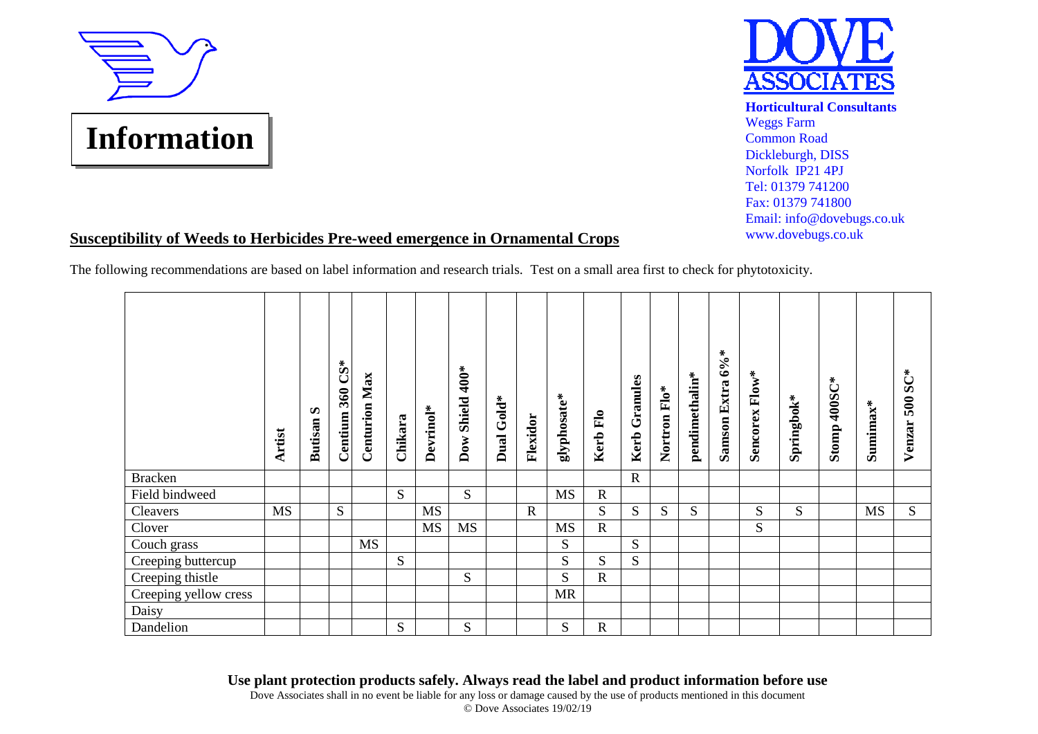



**Horticultural Consultants** Weggs Farm Common Road Dickleburgh, DISS Norfolk IP21 4PJ Tel: 01379 741200 Fax: 01379 741800 Email: info@dovebugs.co.uk www.dovebugs.co.uk

## **Susceptibility of Weeds to Herbicides Pre-weed emergence in Ornamental Crops**

The following recommendations are based on label information and research trials. Test on a small area first to check for phytotoxicity.

|                       | Artist | $\boldsymbol{\omega}$<br><b>Butisan</b> | Centium 360 CS* | <b>Centurion Max</b> | Chikara | Devrinol* | $400*$<br>Shield<br>$\mathbf{Dow}$ | $Gold^*$<br><b>Dual</b> | Flexidor    | glyphosate* | Kerb Flo    | Granules<br>Kerb | Nortron Flo* | pendimethalin* | Samson Extra 6%* | Sencorex Flow* | Springbok* | Stomp 400SC* | Sumimax*  | Venzar 500 SC* |
|-----------------------|--------|-----------------------------------------|-----------------|----------------------|---------|-----------|------------------------------------|-------------------------|-------------|-------------|-------------|------------------|--------------|----------------|------------------|----------------|------------|--------------|-----------|----------------|
| <b>Bracken</b>        |        |                                         |                 |                      |         |           |                                    |                         |             |             |             | $\mathbf R$      |              |                |                  |                |            |              |           |                |
| Field bindweed        |        |                                         |                 |                      | S       |           | S                                  |                         |             | MS          | ${\bf R}$   |                  |              |                |                  |                |            |              |           |                |
| Cleavers              | MS     |                                         | ${\bf S}$       |                      |         | MS        |                                    |                         | $\mathbf R$ |             | ${\bf S}$   | S                | S            | S              |                  | S              | S          |              | <b>MS</b> | S              |
| Clover                |        |                                         |                 |                      |         | <b>MS</b> | <b>MS</b>                          |                         |             | <b>MS</b>   | $\mathbf R$ |                  |              |                |                  | S              |            |              |           |                |
| Couch grass           |        |                                         |                 | <b>MS</b>            |         |           |                                    |                         |             | S           |             | S                |              |                |                  |                |            |              |           |                |
| Creeping buttercup    |        |                                         |                 |                      | S       |           |                                    |                         |             | S           | S           | S                |              |                |                  |                |            |              |           |                |
| Creeping thistle      |        |                                         |                 |                      |         |           | S                                  |                         |             | S           | $\mathbf R$ |                  |              |                |                  |                |            |              |           |                |
| Creeping yellow cress |        |                                         |                 |                      |         |           |                                    |                         |             | <b>MR</b>   |             |                  |              |                |                  |                |            |              |           |                |
| Daisy                 |        |                                         |                 |                      |         |           |                                    |                         |             |             |             |                  |              |                |                  |                |            |              |           |                |
| Dandelion             |        |                                         |                 |                      | S       |           | S                                  |                         |             | S           | $\mathbf R$ |                  |              |                |                  |                |            |              |           |                |

**Use plant protection products safely. Always read the label and product information before use**

Dove Associates shall in no event be liable for any loss or damage caused by the use of products mentioned in this document © Dove Associates 19/02/19